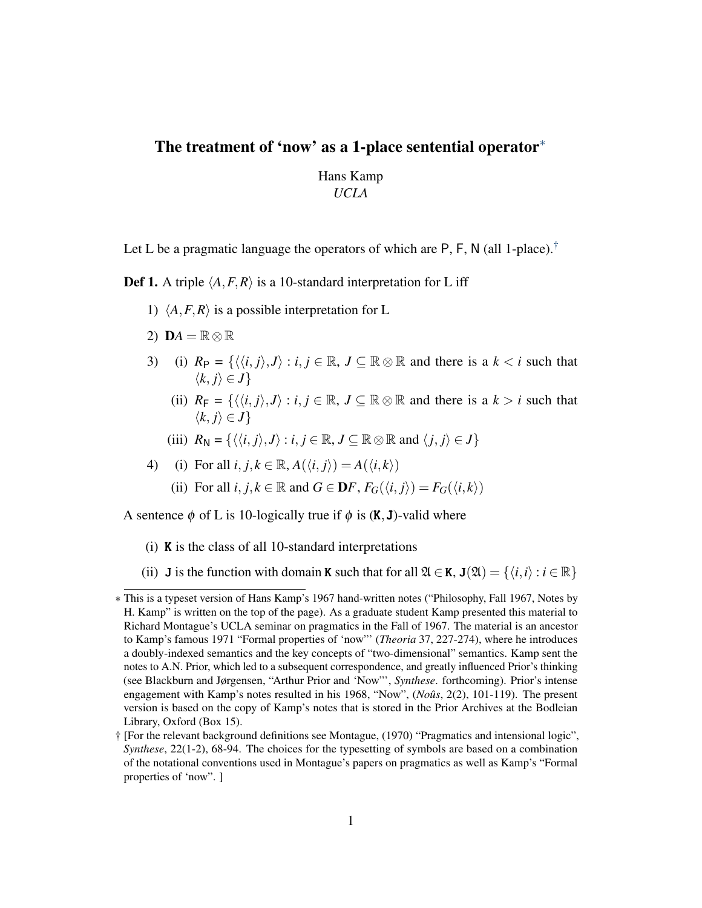## The treatment of 'now' as a 1-place sentential operator<sup>\*</sup>

Hans Kamp *UCLA*

Let L be a pragmatic language the operators of which are P, F, N (all 1-place).<sup>[†](#page-0-0)</sup>

**Def 1.** A triple  $\langle A, F, R \rangle$  is a 10-standard interpretation for L iff

- 1)  $\langle A, F, R \rangle$  is a possible interpretation for L
- 2)  $\mathbf{D}A = \mathbb{R} \otimes \mathbb{R}$
- 3) (i)  $R_P = \{\langle \langle i, j \rangle, J \rangle : i, j \in \mathbb{R}, J \subseteq \mathbb{R} \otimes \mathbb{R} \text{ and there is a } k < i \text{ such that } \rangle$  $\langle k, j \rangle \in J$ 
	- (ii)  $R_F = \{ \langle \langle i, j \rangle, J \rangle : i, j \in \mathbb{R}, J \subseteq \mathbb{R} \otimes \mathbb{R} \text{ and there is a } k > i \text{ such that } \rangle$  $\langle k, j \rangle \in J$
	- (iii)  $R_N = \{ \langle \langle i, j \rangle, J \rangle : i, j \in \mathbb{R}, J \subseteq \mathbb{R} \otimes \mathbb{R} \text{ and } \langle j, j \rangle \in J \}$

4) (i) For all 
$$
i, j, k \in \mathbb{R}
$$
,  $A(\langle i, j \rangle) = A(\langle i, k \rangle)$ 

(ii) For all *i*,  $j, k \in \mathbb{R}$  and  $G \in \mathbf{D}F$ ,  $F_G(\langle i, j \rangle) = F_G(\langle i, k \rangle)$ 

A sentence  $\phi$  of L is 10-logically true if  $\phi$  is  $(K, J)$ -valid where

- (i) K is the class of all 10-standard interpretations
- (ii) **J** is the function with domain **K** such that for all  $\mathfrak{A} \in \mathbf{K}$ ,  $\mathbf{J}(\mathfrak{A}) = \{ \langle i, i \rangle : i \in \mathbb{R} \}$

<sup>∗</sup> This is a typeset version of Hans Kamp's 1967 hand-written notes ("Philosophy, Fall 1967, Notes by H. Kamp" is written on the top of the page). As a graduate student Kamp presented this material to Richard Montague's UCLA seminar on pragmatics in the Fall of 1967. The material is an ancestor to Kamp's famous 1971 "Formal properties of 'now"' (*Theoria* 37, 227-274), where he introduces a doubly-indexed semantics and the key concepts of "two-dimensional" semantics. Kamp sent the notes to A.N. Prior, which led to a subsequent correspondence, and greatly influenced Prior's thinking (see Blackburn and Jørgensen, "Arthur Prior and 'Now"', *Synthese*. forthcoming). Prior's intense engagement with Kamp's notes resulted in his 1968, "Now", (*Noûs*, 2(2), 101-119). The present version is based on the copy of Kamp's notes that is stored in the Prior Archives at the Bodleian Library, Oxford (Box 15).

<span id="page-0-0"></span><sup>†</sup> [For the relevant background definitions see Montague, (1970) "Pragmatics and intensional logic", *Synthese*, 22(1-2), 68-94. The choices for the typesetting of symbols are based on a combination of the notational conventions used in Montague's papers on pragmatics as well as Kamp's "Formal properties of 'now". ]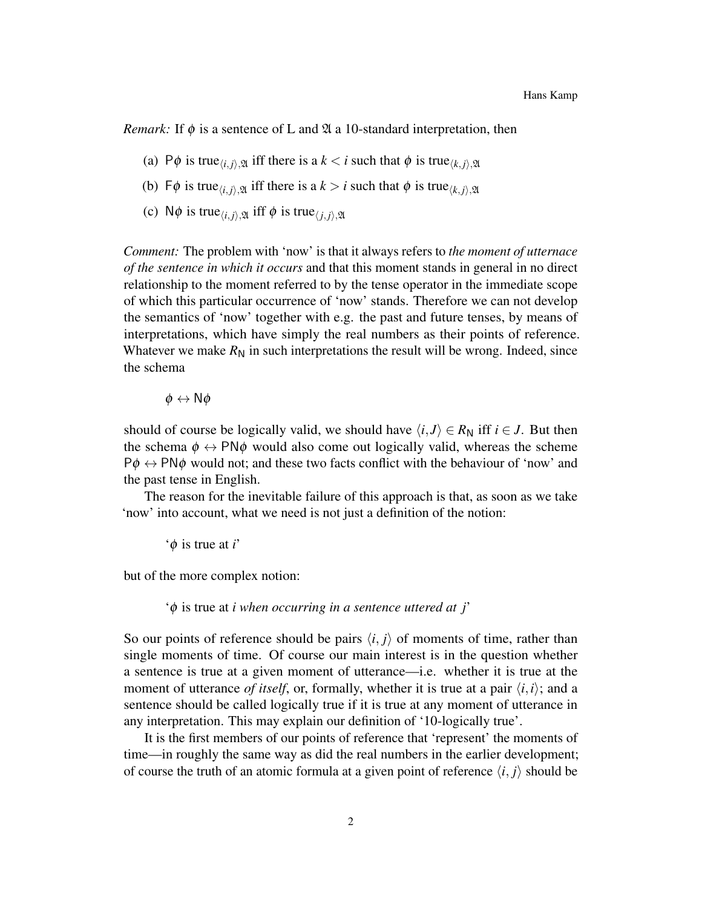*Remark:* If  $\phi$  is a sentence of L and  $\mathfrak A$  a 10-standard interpretation, then

- (a) P $\phi$  is true<sub> $\langle i, j \rangle$ ,  $\mathfrak{A}$  iff there is a  $k < i$  such that  $\phi$  is true $\langle k, j \rangle$ ,  $\mathfrak{A}$ </sub>
- (b)  $\Gamma \phi$  is true<sub> $\langle i, j \rangle \mathfrak{A}$  iff there is a  $k > i$  such that  $\phi$  is true $\langle k, j \rangle \mathfrak{A}$ </sub>
- (c)  $\mathsf{N}\phi$  is true<sub> $\langle i, j \rangle$ ,  $\mathfrak{A}$  iff  $\phi$  is true $\langle j, j \rangle$ ,  $\mathfrak{A}$ </sub>

*Comment:* The problem with 'now' is that it always refers to *the moment of utternace of the sentence in which it occurs* and that this moment stands in general in no direct relationship to the moment referred to by the tense operator in the immediate scope of which this particular occurrence of 'now' stands. Therefore we can not develop the semantics of 'now' together with e.g. the past and future tenses, by means of interpretations, which have simply the real numbers as their points of reference. Whatever we make  $R_N$  in such interpretations the result will be wrong. Indeed, since the schema

 $\phi \leftrightarrow N\phi$ 

should of course be logically valid, we should have  $\langle i, J \rangle \in R_N$  iff  $i \in J$ . But then the schema  $\phi \leftrightarrow \text{PN}\phi$  would also come out logically valid, whereas the scheme  $P\phi \leftrightarrow P N \phi$  would not; and these two facts conflict with the behaviour of 'now' and the past tense in English.

The reason for the inevitable failure of this approach is that, as soon as we take 'now' into account, what we need is not just a definition of the notion:

'φ is true at *i*'

but of the more complex notion:

'φ is true at *i when occurring in a sentence uttered at j*'

So our points of reference should be pairs  $\langle i, j \rangle$  of moments of time, rather than single moments of time. Of course our main interest is in the question whether a sentence is true at a given moment of utterance—i.e. whether it is true at the moment of utterance *of itself*, or, formally, whether it is true at a pair  $\langle i, i \rangle$ ; and a sentence should be called logically true if it is true at any moment of utterance in any interpretation. This may explain our definition of '10-logically true'.

It is the first members of our points of reference that 'represent' the moments of time—in roughly the same way as did the real numbers in the earlier development; of course the truth of an atomic formula at a given point of reference  $\langle i, j \rangle$  should be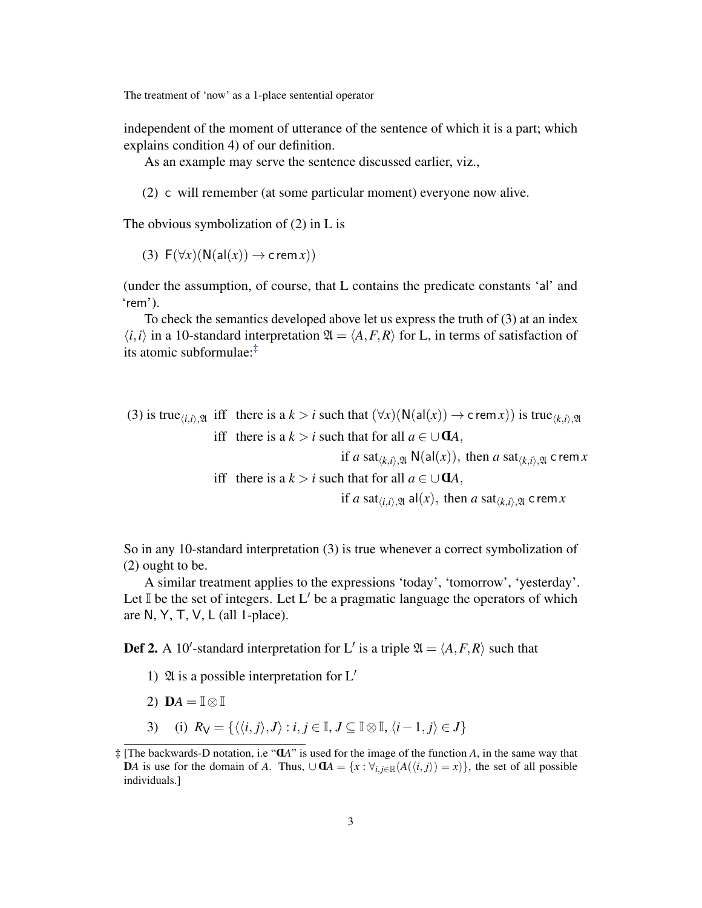The treatment of 'now' as a 1-place sentential operator

independent of the moment of utterance of the sentence of which it is a part; which explains condition 4) of our definition.

As an example may serve the sentence discussed earlier, viz.,

(2) c will remember (at some particular moment) everyone now alive.

The obvious symbolization of (2) in L is

(3)  $F(\forall x)(N(\text{al}(x)) \rightarrow \text{c rem } x)$ 

(under the assumption, of course, that L contains the predicate constants 'al' and 'rem').

To check the semantics developed above let us express the truth of (3) at an index  $\langle i, i \rangle$  in a 10-standard interpretation  $\mathfrak{A} = \langle A, F, R \rangle$  for L, in terms of satisfaction of its atomic subformulae:[‡](#page-2-0)

(3) is true $\chi_{i,i},\chi_{i}$  iff there is a  $k > i$  such that  $(\forall x)(N(\text{al}(x)) \rightarrow \text{c rem }x)$  is true $\chi_{i,i},\chi_{i}$ iff there is a  $k > i$  such that for all  $a \in \bigcup \mathbf{d}A$ , if *a* sat<sub> $(k,i)$ ,  $\mathfrak{A}$  N(al(*x*)), then *a* sat $(k,i)$ ,  $\mathfrak{A}$  c rem*x*</sub> iff there is a  $k > i$  such that for all  $a \in \bigcup \mathbf{d}A$ , if *a* sat $(t, i)$ ,  $\mathfrak{A}$  al(*x*), then *a* sat $(t, i)$ ,  $\mathfrak{A}$  c rem*x* 

So in any 10-standard interpretation (3) is true whenever a correct symbolization of (2) ought to be.

A similar treatment applies to the expressions 'today', 'tomorrow', 'yesterday'. Let  $\mathbb I$  be the set of integers. Let L' be a pragmatic language the operators of which are N, Y, T, V, L (all 1-place).

**Def 2.** A 10'-standard interpretation for L' is a triple  $\mathfrak{A} = \langle A, F, R \rangle$  such that

- 1)  $\mathfrak A$  is a possible interpretation for L'
- 2) **D***A* =  $\mathbb{I} \otimes \mathbb{I}$
- 3) (i)  $R_V = \{ \langle \langle i, j \rangle, J \rangle : i, j \in \mathbb{I}, J \subseteq \mathbb{I} \otimes \mathbb{I}, \langle i-1, j \rangle \in J \}$

<span id="page-2-0"></span> $\ddagger$  [The backwards-D notation, i.e " $\mathbf{d}A$ " is used for the image of the function *A*, in the same way that **D***A* is use for the domain of *A*. Thus, ∪ **d***A* = { $x$  :  $\forall_{i,j \in \mathbb{R}}$ ( $A(\langle i,j \rangle) = x$ )}, the set of all possible individuals.]